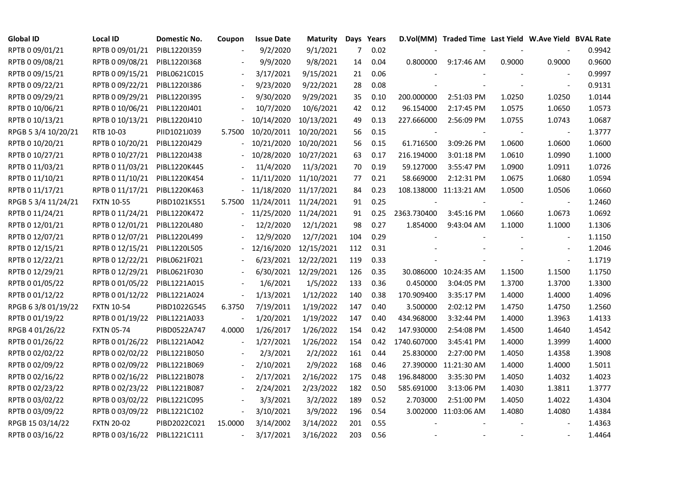| <b>Global ID</b>    | Local ID          | Domestic No. | Coupon                   | <b>Issue Date</b>     | <b>Maturity</b>      |     | Days Years |                          | D.Vol(MM) Traded Time Last Yield W.Ave Yield BVAL Rate |        |                          |        |
|---------------------|-------------------|--------------|--------------------------|-----------------------|----------------------|-----|------------|--------------------------|--------------------------------------------------------|--------|--------------------------|--------|
| RPTB 0 09/01/21     | RPTB 0 09/01/21   | PIBL1220I359 |                          | 9/2/2020              | 9/1/2021             | 7   | 0.02       |                          |                                                        |        |                          | 0.9942 |
| RPTB 0 09/08/21     | RPTB 0 09/08/21   | PIBL1220I368 |                          | 9/9/2020              | 9/8/2021             | 14  | 0.04       | 0.800000                 | 9:17:46 AM                                             | 0.9000 | 0.9000                   | 0.9600 |
| RPTB 0 09/15/21     | RPTB 0 09/15/21   | PIBL0621C015 |                          | 3/17/2021             | 9/15/2021            | 21  | 0.06       |                          |                                                        |        |                          | 0.9997 |
| RPTB 0 09/22/21     | RPTB 0 09/22/21   | PIBL1220I386 | $\overline{\phantom{a}}$ | 9/23/2020             | 9/22/2021            | 28  | 0.08       |                          |                                                        |        | $\sim$                   | 0.9131 |
| RPTB 0 09/29/21     | RPTB 0 09/29/21   | PIBL12201395 |                          | 9/30/2020             | 9/29/2021            | 35  | 0.10       | 200.000000               | 2:51:03 PM                                             | 1.0250 | 1.0250                   | 1.0144 |
| RPTB 0 10/06/21     | RPTB 0 10/06/21   | PIBL1220J401 |                          | 10/7/2020             | 10/6/2021            | 42  | 0.12       | 96.154000                | 2:17:45 PM                                             | 1.0575 | 1.0650                   | 1.0573 |
| RPTB 0 10/13/21     | RPTB 0 10/13/21   | PIBL1220J410 |                          | 10/14/2020            | 10/13/2021           | 49  | 0.13       | 227.666000               | 2:56:09 PM                                             | 1.0755 | 1.0743                   | 1.0687 |
| RPGB 5 3/4 10/20/21 | RTB 10-03         | PIID1021J039 | 5.7500                   | 10/20/2011            | 10/20/2021           | 56  | 0.15       | $\overline{\phantom{a}}$ |                                                        |        | $\overline{\phantom{a}}$ | 1.3777 |
| RPTB 0 10/20/21     | RPTB 0 10/20/21   | PIBL1220J429 |                          | 10/21/2020            | 10/20/2021           | 56  | 0.15       | 61.716500                | 3:09:26 PM                                             | 1.0600 | 1.0600                   | 1.0600 |
| RPTB 0 10/27/21     | RPTB 0 10/27/21   | PIBL1220J438 |                          | 10/28/2020            | 10/27/2021           | 63  | 0.17       | 216.194000               | 3:01:18 PM                                             | 1.0610 | 1.0990                   | 1.1000 |
| RPTB 0 11/03/21     | RPTB 0 11/03/21   | PIBL1220K445 |                          | 11/4/2020             | 11/3/2021            | 70  | 0.19       | 59.127000                | 3:55:47 PM                                             | 1.0900 | 1.0911                   | 1.0726 |
| RPTB 0 11/10/21     | RPTB 0 11/10/21   | PIBL1220K454 |                          | 11/11/2020            | 11/10/2021           | 77  | 0.21       | 58.669000                | 2:12:31 PM                                             | 1.0675 | 1.0680                   | 1.0594 |
| RPTB 0 11/17/21     | RPTB 0 11/17/21   | PIBL1220K463 |                          | 11/18/2020            | 11/17/2021           | 84  | 0.23       |                          | 108.138000 11:13:21 AM                                 | 1.0500 | 1.0506                   | 1.0660 |
| RPGB 5 3/4 11/24/21 | <b>FXTN 10-55</b> | PIBD1021K551 | 5.7500                   | 11/24/2011 11/24/2021 |                      | 91  | 0.25       |                          |                                                        |        | $\blacksquare$           | 1.2460 |
| RPTB 0 11/24/21     | RPTB 0 11/24/21   | PIBL1220K472 |                          | 11/25/2020            | 11/24/2021           | 91  | 0.25       | 2363.730400              | 3:45:16 PM                                             | 1.0660 | 1.0673                   | 1.0692 |
| RPTB 0 12/01/21     | RPTB 0 12/01/21   | PIBL1220L480 |                          | 12/2/2020             | 12/1/2021            | 98  | 0.27       | 1.854000                 | 9:43:04 AM                                             | 1.1000 | 1.1000                   | 1.1306 |
| RPTB 0 12/07/21     | RPTB 0 12/07/21   | PIBL1220L499 |                          | 12/9/2020             | 12/7/2021            | 104 | 0.29       |                          |                                                        |        |                          | 1.1150 |
| RPTB 0 12/15/21     | RPTB 0 12/15/21   | PIBL1220L505 |                          | 12/16/2020            | 12/15/2021           | 112 | 0.31       |                          |                                                        |        |                          | 1.2046 |
| RPTB 0 12/22/21     | RPTB 0 12/22/21   | PIBL0621F021 |                          | 6/23/2021             | 12/22/2021           | 119 | 0.33       |                          |                                                        |        |                          | 1.1719 |
| RPTB 0 12/29/21     | RPTB 0 12/29/21   | PIBL0621F030 |                          |                       | 6/30/2021 12/29/2021 | 126 | 0.35       |                          | 30.086000 10:24:35 AM                                  | 1.1500 | 1.1500                   | 1.1750 |
| RPTB 0 01/05/22     | RPTB 0 01/05/22   | PIBL1221A015 |                          | 1/6/2021              | 1/5/2022             | 133 | 0.36       | 0.450000                 | 3:04:05 PM                                             | 1.3700 | 1.3700                   | 1.3300 |
| RPTB 0 01/12/22     | RPTB 0 01/12/22   | PIBL1221A024 | $\Box$                   | 1/13/2021             | 1/12/2022            | 140 | 0.38       | 170.909400               | 3:35:17 PM                                             | 1.4000 | 1.4000                   | 1.4096 |
| RPGB 63/8 01/19/22  | <b>FXTN 10-54</b> | PIBD1022G545 | 6.3750                   | 7/19/2011             | 1/19/2022            | 147 | 0.40       | 3.500000                 | 2:02:12 PM                                             | 1.4750 | 1.4750                   | 1.2560 |
| RPTB 0 01/19/22     | RPTB 0 01/19/22   | PIBL1221A033 |                          | 1/20/2021             | 1/19/2022            | 147 | 0.40       | 434.968000               | 3:32:44 PM                                             | 1.4000 | 1.3963                   | 1.4133 |
| RPGB 4 01/26/22     | <b>FXTN 05-74</b> | PIBD0522A747 | 4.0000                   | 1/26/2017             | 1/26/2022            | 154 | 0.42       | 147.930000               | 2:54:08 PM                                             | 1.4500 | 1.4640                   | 1.4542 |
| RPTB 0 01/26/22     | RPTB 0 01/26/22   | PIBL1221A042 | $\blacksquare$           | 1/27/2021             | 1/26/2022            | 154 | 0.42       | 1740.607000              | 3:45:41 PM                                             | 1.4000 | 1.3999                   | 1.4000 |
| RPTB 0 02/02/22     | RPTB 0 02/02/22   | PIBL1221B050 |                          | 2/3/2021              | 2/2/2022             | 161 | 0.44       | 25.830000                | 2:27:00 PM                                             | 1.4050 | 1.4358                   | 1.3908 |
| RPTB 0 02/09/22     | RPTB 0 02/09/22   | PIBL1221B069 | $\overline{\phantom{a}}$ | 2/10/2021             | 2/9/2022             | 168 | 0.46       |                          | 27.390000 11:21:30 AM                                  | 1.4000 | 1.4000                   | 1.5011 |
| RPTB 0 02/16/22     | RPTB 0 02/16/22   | PIBL1221B078 |                          | 2/17/2021             | 2/16/2022            | 175 | 0.48       | 196.848000               | 3:35:30 PM                                             | 1.4050 | 1.4032                   | 1.4023 |
| RPTB 0 02/23/22     | RPTB 0 02/23/22   | PIBL1221B087 |                          | 2/24/2021             | 2/23/2022            | 182 | 0.50       | 585.691000               | 3:13:06 PM                                             | 1.4030 | 1.3811                   | 1.3777 |
| RPTB 0 03/02/22     | RPTB 0 03/02/22   | PIBL1221C095 |                          | 3/3/2021              | 3/2/2022             | 189 | 0.52       | 2.703000                 | 2:51:00 PM                                             | 1.4050 | 1.4022                   | 1.4304 |
| RPTB 0 03/09/22     | RPTB 0 03/09/22   | PIBL1221C102 | $\overline{\phantom{a}}$ | 3/10/2021             | 3/9/2022             | 196 | 0.54       |                          | 3.002000 11:03:06 AM                                   | 1.4080 | 1.4080                   | 1.4384 |
| RPGB 15 03/14/22    | <b>FXTN 20-02</b> | PIBD2022C021 | 15.0000                  | 3/14/2002             | 3/14/2022            | 201 | 0.55       |                          |                                                        |        |                          | 1.4363 |
| RPTB 0 03/16/22     | RPTB 0 03/16/22   | PIBL1221C111 | $\blacksquare$           | 3/17/2021             | 3/16/2022            | 203 | 0.56       |                          |                                                        |        |                          | 1.4464 |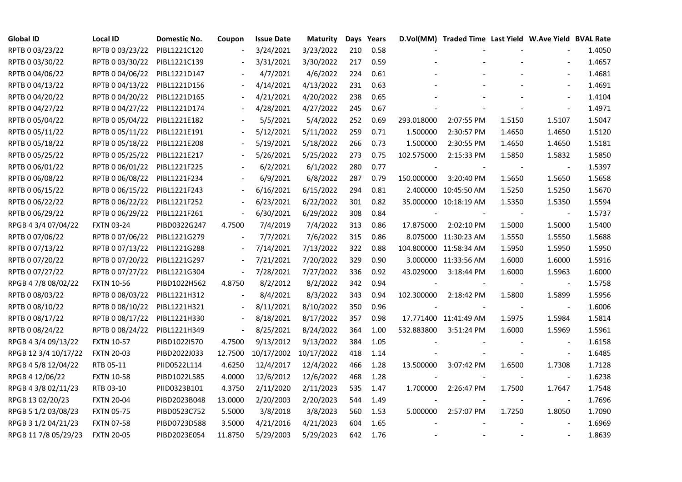| <b>Global ID</b>     | <b>Local ID</b>   | Domestic No. | Coupon                   | <b>Issue Date</b> | <b>Maturity</b>       |     | Days Years |                | D.Vol(MM) Traded Time Last Yield W.Ave Yield BVAL Rate |        |                          |        |
|----------------------|-------------------|--------------|--------------------------|-------------------|-----------------------|-----|------------|----------------|--------------------------------------------------------|--------|--------------------------|--------|
| RPTB 0 03/23/22      | RPTB 0 03/23/22   | PIBL1221C120 |                          | 3/24/2021         | 3/23/2022             | 210 | 0.58       |                |                                                        |        |                          | 1.4050 |
| RPTB 0 03/30/22      | RPTB 0 03/30/22   | PIBL1221C139 |                          | 3/31/2021         | 3/30/2022             | 217 | 0.59       |                |                                                        |        |                          | 1.4657 |
| RPTB 0 04/06/22      | RPTB 0 04/06/22   | PIBL1221D147 |                          | 4/7/2021          | 4/6/2022              | 224 | 0.61       |                |                                                        |        | $\blacksquare$           | 1.4681 |
| RPTB 0 04/13/22      | RPTB 0 04/13/22   | PIBL1221D156 | $\overline{\phantom{a}}$ | 4/14/2021         | 4/13/2022             | 231 | 0.63       |                |                                                        |        | $\blacksquare$           | 1.4691 |
| RPTB 0 04/20/22      | RPTB 0 04/20/22   | PIBL1221D165 | $\blacksquare$           | 4/21/2021         | 4/20/2022             | 238 | 0.65       |                |                                                        |        | $\blacksquare$           | 1.4104 |
| RPTB 0 04/27/22      | RPTB 0 04/27/22   | PIBL1221D174 |                          | 4/28/2021         | 4/27/2022             | 245 | 0.67       |                |                                                        |        |                          | 1.4971 |
| RPTB 0 05/04/22      | RPTB 0 05/04/22   | PIBL1221E182 |                          | 5/5/2021          | 5/4/2022              | 252 | 0.69       | 293.018000     | 2:07:55 PM                                             | 1.5150 | 1.5107                   | 1.5047 |
| RPTB 0 05/11/22      | RPTB 0 05/11/22   | PIBL1221E191 |                          | 5/12/2021         | 5/11/2022             | 259 | 0.71       | 1.500000       | 2:30:57 PM                                             | 1.4650 | 1.4650                   | 1.5120 |
| RPTB 0 05/18/22      | RPTB 0 05/18/22   | PIBL1221E208 |                          | 5/19/2021         | 5/18/2022             | 266 | 0.73       | 1.500000       | 2:30:55 PM                                             | 1.4650 | 1.4650                   | 1.5181 |
| RPTB 0 05/25/22      | RPTB 0 05/25/22   | PIBL1221E217 |                          | 5/26/2021         | 5/25/2022             | 273 | 0.75       | 102.575000     | 2:15:33 PM                                             | 1.5850 | 1.5832                   | 1.5850 |
| RPTB 0 06/01/22      | RPTB 0 06/01/22   | PIBL1221F225 | $\overline{\phantom{a}}$ | 6/2/2021          | 6/1/2022              | 280 | 0.77       |                |                                                        |        | $\overline{\phantom{a}}$ | 1.5397 |
| RPTB 0 06/08/22      | RPTB 0 06/08/22   | PIBL1221F234 |                          | 6/9/2021          | 6/8/2022              | 287 | 0.79       | 150.000000     | 3:20:40 PM                                             | 1.5650 | 1.5650                   | 1.5658 |
| RPTB 0 06/15/22      | RPTB 0 06/15/22   | PIBL1221F243 | $\overline{\phantom{a}}$ | 6/16/2021         | 6/15/2022             | 294 | 0.81       |                | 2.400000 10:45:50 AM                                   | 1.5250 | 1.5250                   | 1.5670 |
| RPTB 0 06/22/22      | RPTB 0 06/22/22   | PIBL1221F252 |                          | 6/23/2021         | 6/22/2022             | 301 | 0.82       |                | 35.000000 10:18:19 AM                                  | 1.5350 | 1.5350                   | 1.5594 |
| RPTB 0 06/29/22      | RPTB 0 06/29/22   | PIBL1221F261 | $\frac{1}{2}$            | 6/30/2021         | 6/29/2022             | 308 | 0.84       |                |                                                        |        | $\overline{\phantom{a}}$ | 1.5737 |
| RPGB 4 3/4 07/04/22  | <b>FXTN 03-24</b> | PIBD0322G247 | 4.7500                   | 7/4/2019          | 7/4/2022              | 313 | 0.86       | 17.875000      | 2:02:10 PM                                             | 1.5000 | 1.5000                   | 1.5400 |
| RPTB 0 07/06/22      | RPTB 0 07/06/22   | PIBL1221G279 |                          | 7/7/2021          | 7/6/2022              | 315 | 0.86       |                | 8.075000 11:30:23 AM                                   | 1.5550 | 1.5550                   | 1.5688 |
| RPTB 0 07/13/22      | RPTB 0 07/13/22   | PIBL1221G288 | $\overline{\phantom{a}}$ | 7/14/2021         | 7/13/2022             | 322 | 0.88       |                | 104.800000 11:58:34 AM                                 | 1.5950 | 1.5950                   | 1.5950 |
| RPTB 0 07/20/22      | RPTB 0 07/20/22   | PIBL1221G297 | $\blacksquare$           | 7/21/2021         | 7/20/2022             | 329 | 0.90       |                | 3.000000 11:33:56 AM                                   | 1.6000 | 1.6000                   | 1.5916 |
| RPTB 0 07/27/22      | RPTB 0 07/27/22   | PIBL1221G304 | $\blacksquare$           | 7/28/2021         | 7/27/2022             | 336 | 0.92       | 43.029000      | 3:18:44 PM                                             | 1.6000 | 1.5963                   | 1.6000 |
| RPGB 4 7/8 08/02/22  | <b>FXTN 10-56</b> | PIBD1022H562 | 4.8750                   | 8/2/2012          | 8/2/2022              | 342 | 0.94       | $\blacksquare$ |                                                        |        | $\blacksquare$           | 1.5758 |
| RPTB 0 08/03/22      | RPTB 0 08/03/22   | PIBL1221H312 |                          | 8/4/2021          | 8/3/2022              | 343 | 0.94       | 102.300000     | 2:18:42 PM                                             | 1.5800 | 1.5899                   | 1.5956 |
| RPTB 0 08/10/22      | RPTB 0 08/10/22   | PIBL1221H321 |                          | 8/11/2021         | 8/10/2022             | 350 | 0.96       |                |                                                        |        |                          | 1.6006 |
| RPTB 0 08/17/22      | RPTB 0 08/17/22   | PIBL1221H330 |                          | 8/18/2021         | 8/17/2022             | 357 | 0.98       |                | 17.771400 11:41:49 AM                                  | 1.5975 | 1.5984                   | 1.5814 |
| RPTB 0 08/24/22      | RPTB 0 08/24/22   | PIBL1221H349 | $\blacksquare$           | 8/25/2021         | 8/24/2022             | 364 | 1.00       | 532.883800     | 3:51:24 PM                                             | 1.6000 | 1.5969                   | 1.5961 |
| RPGB 4 3/4 09/13/22  | <b>FXTN 10-57</b> | PIBD1022I570 | 4.7500                   | 9/13/2012         | 9/13/2022             | 384 | 1.05       |                |                                                        |        | $\overline{\phantom{a}}$ | 1.6158 |
| RPGB 12 3/4 10/17/22 | <b>FXTN 20-03</b> | PIBD2022J033 | 12.7500                  |                   | 10/17/2002 10/17/2022 | 418 | 1.14       |                |                                                        |        | $\overline{\phantom{a}}$ | 1.6485 |
| RPGB 4 5/8 12/04/22  | RTB 05-11         | PIID0522L114 | 4.6250                   | 12/4/2017         | 12/4/2022             | 466 | 1.28       | 13.500000      | 3:07:42 PM                                             | 1.6500 | 1.7308                   | 1.7128 |
| RPGB 4 12/06/22      | <b>FXTN 10-58</b> | PIBD1022L585 | 4.0000                   | 12/6/2012         | 12/6/2022             | 468 | 1.28       |                |                                                        |        | $\overline{\phantom{a}}$ | 1.6238 |
| RPGB 4 3/8 02/11/23  | RTB 03-10         | PIID0323B101 | 4.3750                   | 2/11/2020         | 2/11/2023             | 535 | 1.47       | 1.700000       | 2:26:47 PM                                             | 1.7500 | 1.7647                   | 1.7548 |
| RPGB 13 02/20/23     | <b>FXTN 20-04</b> | PIBD2023B048 | 13.0000                  | 2/20/2003         | 2/20/2023             | 544 | 1.49       |                |                                                        |        |                          | 1.7696 |
| RPGB 5 1/2 03/08/23  | <b>FXTN 05-75</b> | PIBD0523C752 | 5.5000                   | 3/8/2018          | 3/8/2023              | 560 | 1.53       | 5.000000       | 2:57:07 PM                                             | 1.7250 | 1.8050                   | 1.7090 |
| RPGB 3 1/2 04/21/23  | <b>FXTN 07-58</b> | PIBD0723D588 | 3.5000                   | 4/21/2016         | 4/21/2023             | 604 | 1.65       |                |                                                        |        |                          | 1.6969 |
| RPGB 11 7/8 05/29/23 | <b>FXTN 20-05</b> | PIBD2023E054 | 11.8750                  | 5/29/2003         | 5/29/2023             | 642 | 1.76       |                |                                                        |        |                          | 1.8639 |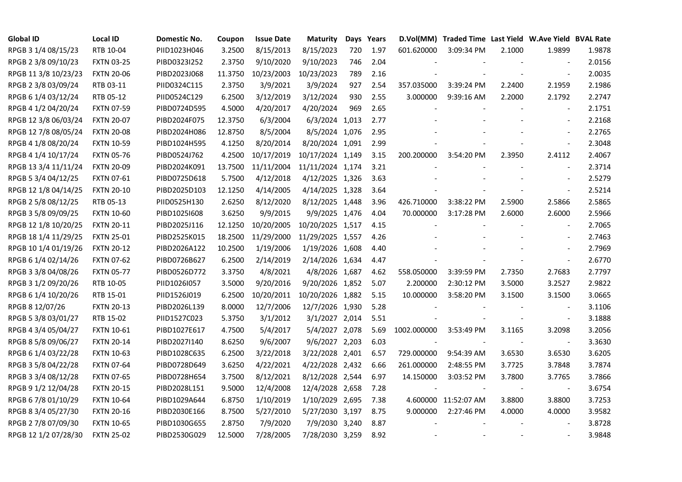| <b>Global ID</b>     | <b>Local ID</b>   | Domestic No. | Coupon  | <b>Issue Date</b> | <b>Maturity</b>  |     | Days Years |             | D.Vol(MM) Traded Time Last Yield W.Ave Yield BVAL Rate |                |                          |        |
|----------------------|-------------------|--------------|---------|-------------------|------------------|-----|------------|-------------|--------------------------------------------------------|----------------|--------------------------|--------|
| RPGB 3 1/4 08/15/23  | RTB 10-04         | PIID1023H046 | 3.2500  | 8/15/2013         | 8/15/2023        | 720 | 1.97       | 601.620000  | 3:09:34 PM                                             | 2.1000         | 1.9899                   | 1.9878 |
| RPGB 2 3/8 09/10/23  | <b>FXTN 03-25</b> | PIBD0323I252 | 2.3750  | 9/10/2020         | 9/10/2023        | 746 | 2.04       |             |                                                        |                |                          | 2.0156 |
| RPGB 11 3/8 10/23/23 | <b>FXTN 20-06</b> | PIBD2023J068 | 11.3750 | 10/23/2003        | 10/23/2023       | 789 | 2.16       |             |                                                        |                | $\blacksquare$           | 2.0035 |
| RPGB 2 3/8 03/09/24  | RTB 03-11         | PIID0324C115 | 2.3750  | 3/9/2021          | 3/9/2024         | 927 | 2.54       | 357.035000  | 3:39:24 PM                                             | 2.2400         | 2.1959                   | 2.1986 |
| RPGB 6 1/4 03/12/24  | RTB 05-12         | PIID0524C129 | 6.2500  | 3/12/2019         | 3/12/2024        | 930 | 2.55       | 3.000000    | 9:39:16 AM                                             | 2.2000         | 2.1792                   | 2.2747 |
| RPGB 4 1/2 04/20/24  | <b>FXTN 07-59</b> | PIBD0724D595 | 4.5000  | 4/20/2017         | 4/20/2024        | 969 | 2.65       |             |                                                        |                | $\blacksquare$           | 2.1751 |
| RPGB 12 3/8 06/03/24 | <b>FXTN 20-07</b> | PIBD2024F075 | 12.3750 | 6/3/2004          | 6/3/2024 1,013   |     | 2.77       |             |                                                        |                | $\blacksquare$           | 2.2168 |
| RPGB 12 7/8 08/05/24 | <b>FXTN 20-08</b> | PIBD2024H086 | 12.8750 | 8/5/2004          | 8/5/2024 1,076   |     | 2.95       |             |                                                        |                | $\blacksquare$           | 2.2765 |
| RPGB 4 1/8 08/20/24  | <b>FXTN 10-59</b> | PIBD1024H595 | 4.1250  | 8/20/2014         | 8/20/2024 1,091  |     | 2.99       |             |                                                        |                |                          | 2.3048 |
| RPGB 4 1/4 10/17/24  | <b>FXTN 05-76</b> | PIBD0524J762 | 4.2500  | 10/17/2019        | 10/17/2024 1,149 |     | 3.15       | 200.200000  | 3:54:20 PM                                             | 2.3950         | 2.4112                   | 2.4067 |
| RPGB 13 3/4 11/11/24 | <b>FXTN 20-09</b> | PIBD2024K091 | 13.7500 | 11/11/2004        | 11/11/2024 1,174 |     | 3.21       |             |                                                        |                | $\blacksquare$           | 2.3714 |
| RPGB 5 3/4 04/12/25  | FXTN 07-61        | PIBD0725D618 | 5.7500  | 4/12/2018         | 4/12/2025 1,326  |     | 3.63       |             |                                                        |                | $\blacksquare$           | 2.5279 |
| RPGB 12 1/8 04/14/25 | <b>FXTN 20-10</b> | PIBD2025D103 | 12.1250 | 4/14/2005         | 4/14/2025 1,328  |     | 3.64       |             |                                                        |                | $\blacksquare$           | 2.5214 |
| RPGB 2 5/8 08/12/25  | RTB 05-13         | PIID0525H130 | 2.6250  | 8/12/2020         | 8/12/2025 1,448  |     | 3.96       | 426.710000  | 3:38:22 PM                                             | 2.5900         | 2.5866                   | 2.5865 |
| RPGB 3 5/8 09/09/25  | <b>FXTN 10-60</b> | PIBD10251608 | 3.6250  | 9/9/2015          | 9/9/2025 1,476   |     | 4.04       | 70.000000   | 3:17:28 PM                                             | 2.6000         | 2.6000                   | 2.5966 |
| RPGB 12 1/8 10/20/25 | <b>FXTN 20-11</b> | PIBD2025J116 | 12.1250 | 10/20/2005        | 10/20/2025 1,517 |     | 4.15       |             |                                                        |                |                          | 2.7065 |
| RPGB 18 1/4 11/29/25 | <b>FXTN 25-01</b> | PIBD2525K015 | 18.2500 | 11/29/2000        | 11/29/2025 1,557 |     | 4.26       |             |                                                        |                | $\overline{\phantom{a}}$ | 2.7463 |
| RPGB 10 1/4 01/19/26 | <b>FXTN 20-12</b> | PIBD2026A122 | 10.2500 | 1/19/2006         | 1/19/2026 1,608  |     | 4.40       |             |                                                        |                | $\blacksquare$           | 2.7969 |
| RPGB 6 1/4 02/14/26  | <b>FXTN 07-62</b> | PIBD0726B627 | 6.2500  | 2/14/2019         | 2/14/2026 1,634  |     | 4.47       |             |                                                        |                |                          | 2.6770 |
| RPGB 3 3/8 04/08/26  | <b>FXTN 05-77</b> | PIBD0526D772 | 3.3750  | 4/8/2021          | 4/8/2026 1,687   |     | 4.62       | 558.050000  | 3:39:59 PM                                             | 2.7350         | 2.7683                   | 2.7797 |
| RPGB 3 1/2 09/20/26  | RTB 10-05         | PIID1026I057 | 3.5000  | 9/20/2016         | 9/20/2026 1,852  |     | 5.07       | 2.200000    | 2:30:12 PM                                             | 3.5000         | 3.2527                   | 2.9822 |
| RPGB 6 1/4 10/20/26  | RTB 15-01         | PIID1526J019 | 6.2500  | 10/20/2011        | 10/20/2026 1,882 |     | 5.15       | 10.000000   | 3:58:20 PM                                             | 3.1500         | 3.1500                   | 3.0665 |
| RPGB 8 12/07/26      | <b>FXTN 20-13</b> | PIBD2026L139 | 8.0000  | 12/7/2006         | 12/7/2026 1,930  |     | 5.28       |             |                                                        |                |                          | 3.1106 |
| RPGB 5 3/8 03/01/27  | RTB 15-02         | PIID1527C023 | 5.3750  | 3/1/2012          | 3/1/2027 2,014   |     | 5.51       |             |                                                        |                | $\blacksquare$           | 3.1888 |
| RPGB 4 3/4 05/04/27  | <b>FXTN 10-61</b> | PIBD1027E617 | 4.7500  | 5/4/2017          | 5/4/2027 2,078   |     | 5.69       | 1002.000000 | 3:53:49 PM                                             | 3.1165         | 3.2098                   | 3.2056 |
| RPGB 8 5/8 09/06/27  | <b>FXTN 20-14</b> | PIBD2027I140 | 8.6250  | 9/6/2007          | 9/6/2027 2,203   |     | 6.03       |             |                                                        |                | $\blacksquare$           | 3.3630 |
| RPGB 6 1/4 03/22/28  | <b>FXTN 10-63</b> | PIBD1028C635 | 6.2500  | 3/22/2018         | 3/22/2028 2,401  |     | 6.57       | 729.000000  | 9:54:39 AM                                             | 3.6530         | 3.6530                   | 3.6205 |
| RPGB 3 5/8 04/22/28  | <b>FXTN 07-64</b> | PIBD0728D649 | 3.6250  | 4/22/2021         | 4/22/2028 2,432  |     | 6.66       | 261.000000  | 2:48:55 PM                                             | 3.7725         | 3.7848                   | 3.7874 |
| RPGB 3 3/4 08/12/28  | <b>FXTN 07-65</b> | PIBD0728H654 | 3.7500  | 8/12/2021         | 8/12/2028 2,544  |     | 6.97       | 14.150000   | 3:03:52 PM                                             | 3.7800         | 3.7765                   | 3.7866 |
| RPGB 9 1/2 12/04/28  | <b>FXTN 20-15</b> | PIBD2028L151 | 9.5000  | 12/4/2008         | 12/4/2028 2,658  |     | 7.28       |             |                                                        |                |                          | 3.6754 |
| RPGB 67/8 01/10/29   | <b>FXTN 10-64</b> | PIBD1029A644 | 6.8750  | 1/10/2019         | 1/10/2029 2,695  |     | 7.38       |             | 4.600000 11:52:07 AM                                   | 3.8800         | 3.8800                   | 3.7253 |
| RPGB 8 3/4 05/27/30  | <b>FXTN 20-16</b> | PIBD2030E166 | 8.7500  | 5/27/2010         | 5/27/2030 3,197  |     | 8.75       | 9.000000    | 2:27:46 PM                                             | 4.0000         | 4.0000                   | 3.9582 |
| RPGB 2 7/8 07/09/30  | <b>FXTN 10-65</b> | PIBD1030G655 | 2.8750  | 7/9/2020          | 7/9/2030 3,240   |     | 8.87       |             |                                                        |                | $\blacksquare$           | 3.8728 |
| RPGB 12 1/2 07/28/30 | <b>FXTN 25-02</b> | PIBD2530G029 | 12.5000 | 7/28/2005         | 7/28/2030 3,259  |     | 8.92       |             |                                                        | $\blacksquare$ | $\sim$                   | 3.9848 |